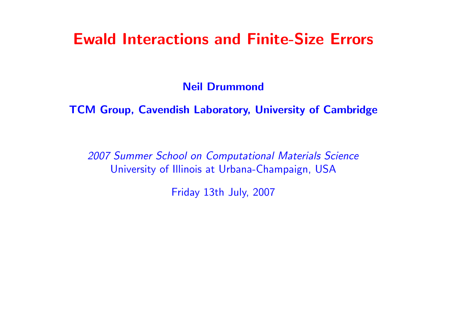# Ewald Interactions and Finite-Size Errors

Neil Drummond

TCM Group, Cavendish Laboratory, University of Cambridge

2007 Summer School on Computational Materials Science University of Illinois at Urbana-Champaign, USA

Friday 13th July, 2007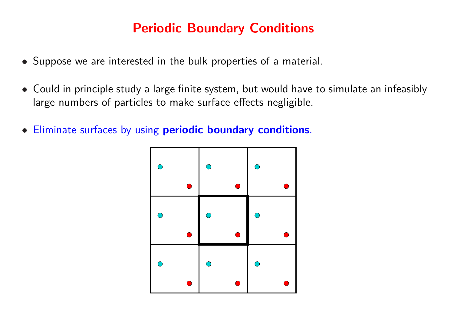### Periodic Boundary Conditions

- Suppose we are interested in the bulk properties of a material.
- Could in principle study a large finite system, but would have to simulate an infeasibly large numbers of particles to make surface effects negligible.
- Eliminate surfaces by using periodic boundary conditions.

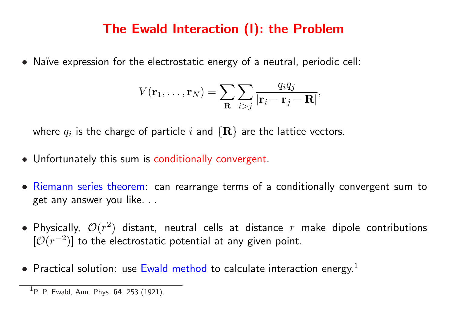### The Ewald Interaction (I): the Problem

• Naïve expression for the electrostatic energy of a neutral, periodic cell:

$$
V(\mathbf{r}_1,\ldots,\mathbf{r}_N)=\sum_{\mathbf{R}}\sum_{i>j}\frac{q_iq_j}{|\mathbf{r}_i-\mathbf{r}_j-\mathbf{R}|},
$$

where  $q_i$  is the charge of particle  $i$  and  $\{{\bf R}\}$  are the lattice vectors.

- Unfortunately this sum is conditionally convergent.
- Riemann series theorem: can rearrange terms of a conditionally convergent sum to get any answer you like. . .
- Physically,  $\mathcal{O}(r^2)$  distant, neutral cells at distance  $r$  make dipole contributions  $[O(r^{-2})]$  to the electrostatic potential at any given point.
- Practical solution: use Ewald method to calculate interaction energy.<sup>1</sup>

<sup>&</sup>lt;sup>1</sup>P. P. Ewald, Ann. Phys.  $64$ , 253 (1921).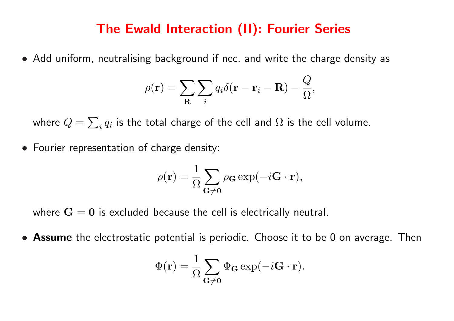#### The Ewald Interaction (II): Fourier Series

• Add uniform, neutralising background if nec. and write the charge density as

$$
\rho(\mathbf{r}) = \sum_{\mathbf{R}} \sum_{i} q_i \delta(\mathbf{r} - \mathbf{r}_i - \mathbf{R}) - \frac{Q}{\Omega},
$$

where  $Q=\,$  $\overline{ }$  $_i\,q_i$  is the total charge of the cell and  $\Omega$  is the cell volume.

• Fourier representation of charge density:

$$
\rho(\mathbf{r}) = \frac{1}{\Omega} \sum_{\mathbf{G} \neq \mathbf{0}} \rho_{\mathbf{G}} \exp(-i\mathbf{G} \cdot \mathbf{r}),
$$

where  $G = 0$  is excluded because the cell is electrically neutral.

• Assume the electrostatic potential is periodic. Choose it to be 0 on average. Then

$$
\Phi(\mathbf{r}) = \frac{1}{\Omega} \sum_{\mathbf{G} \neq \mathbf{0}} \Phi_{\mathbf{G}} \exp(-i \mathbf{G} \cdot \mathbf{r}).
$$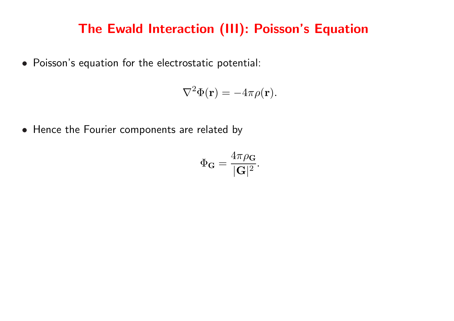### The Ewald Interaction (III): Poisson's Equation

• Poisson's equation for the electrostatic potential:

$$
\nabla^2 \Phi(\mathbf{r}) = -4\pi \rho(\mathbf{r}).
$$

• Hence the Fourier components are related by

$$
\Phi_{\mathbf{G}} = \frac{4\pi\rho_{\mathbf{G}}}{|\mathbf{G}|^2}.
$$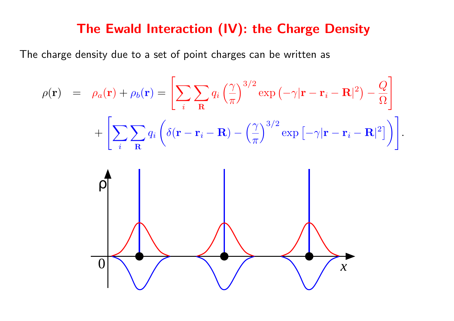#### The Ewald Interaction (IV): the Charge Density

The charge density due to a set of point charges can be written as

$$
\rho(\mathbf{r}) = \rho_a(\mathbf{r}) + \rho_b(\mathbf{r}) = \left[ \sum_i \sum_{\mathbf{R}} q_i \left( \frac{\gamma}{\pi} \right)^{3/2} \exp \left( -\gamma |\mathbf{r} - \mathbf{r}_i - \mathbf{R}|^2 \right) - \frac{Q}{\Omega} \right] + \left[ \sum_i \sum_{\mathbf{R}} q_i \left( \delta(\mathbf{r} - \mathbf{r}_i - \mathbf{R}) - \left( \frac{\gamma}{\pi} \right)^{3/2} \exp \left[ -\gamma |\mathbf{r} - \mathbf{r}_i - \mathbf{R}|^2 \right] \right) \right].
$$

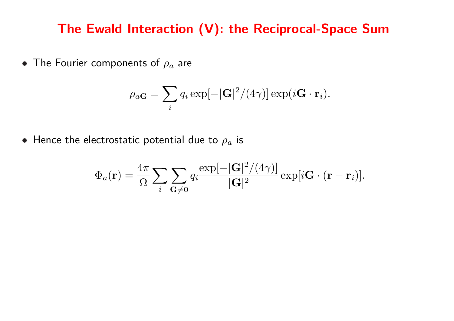#### The Ewald Interaction (V): the Reciprocal-Space Sum

• The Fourier components of  $\rho_a$  are

$$
\rho_{aG} = \sum_{i} q_i \exp[-|\mathbf{G}|^2/(4\gamma)] \exp(i\mathbf{G} \cdot \mathbf{r}_i).
$$

• Hence the electrostatic potential due to  $\rho_a$  is

$$
\Phi_a(\mathbf{r}) = \frac{4\pi}{\Omega} \sum_i \sum_{\mathbf{G}\neq \mathbf{0}} q_i \frac{\exp[-|\mathbf{G}|^2/(4\gamma)]}{|\mathbf{G}|^2} \exp[i\mathbf{G} \cdot (\mathbf{r} - \mathbf{r}_i)].
$$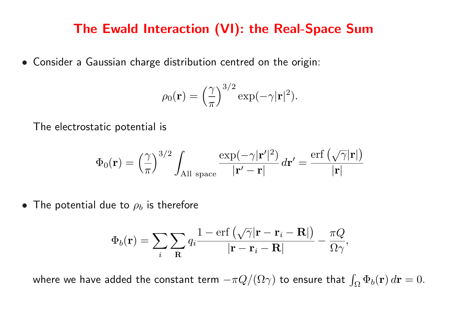#### The Ewald Interaction (VI): the Real-Space Sum

• Consider a Gaussian charge distribution centred on the origin:

$$
\rho_0(\mathbf{r}) = \left(\frac{\gamma}{\pi}\right)^{3/2} \exp(-\gamma |\mathbf{r}|^2).
$$

The electrostatic potential is

$$
\Phi_0(\mathbf{r}) = \left(\frac{\gamma}{\pi}\right)^{3/2} \int_{\text{All space}} \frac{\exp(-\gamma |\mathbf{r}'|^2)}{|\mathbf{r}' - \mathbf{r}|} d\mathbf{r}' = \frac{\text{erf}\left(\sqrt{\gamma} |\mathbf{r}|\right)}{|\mathbf{r}|}
$$

• The potential due to  $\rho_b$  is therefore

$$
\Phi_b(\mathbf{r}) = \sum_i \sum_{\mathbf{R}} q_i \frac{1 - \text{erf}\left(\sqrt{\gamma}|\mathbf{r} - \mathbf{r}_i - \mathbf{R}|\right)}{|\mathbf{r} - \mathbf{r}_i - \mathbf{R}|} - \frac{\pi Q}{\Omega \gamma},
$$

where we have added the constant term  $-\pi Q/(\Omega \gamma)$  to ensure that  $\int_{\Omega} \Phi_b({\bf r})\, d{\bf r}=0.$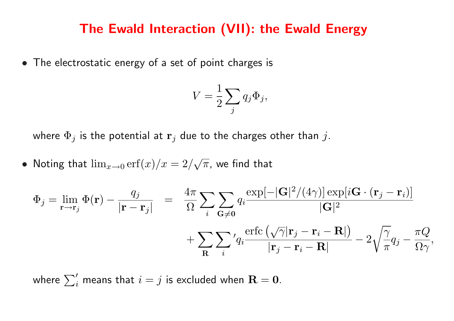#### The Ewald Interaction (VII): the Ewald Energy

• The electrostatic energy of a set of point charges is

$$
V = \frac{1}{2} \sum_{j} q_j \Phi_j,
$$

where  $\Phi_j$  is the potential at  $\mathbf{r}_j$  due to the charges other than j.

• Noting that  $\lim_{x\to 0} \text{erf}(x)/x = 2/$ √  $\overline{\pi}$ , we find that

$$
\Phi_j = \lim_{\mathbf{r} \to \mathbf{r}_j} \Phi(\mathbf{r}) - \frac{q_j}{|\mathbf{r} - \mathbf{r}_j|} = \frac{4\pi}{\Omega} \sum_i \sum_{\mathbf{G} \neq \mathbf{0}} q_i \frac{\exp[-|\mathbf{G}|^2/(4\gamma)] \exp[i\mathbf{G} \cdot (\mathbf{r}_j - \mathbf{r}_i)]}{|\mathbf{G}|^2} \n+ \sum_{\mathbf{R}} \sum_i' q_i \frac{\text{erfc}\left(\sqrt{\gamma}|\mathbf{r}_j - \mathbf{r}_i - \mathbf{R}|\right)}{|\mathbf{r}_j - \mathbf{r}_i - \mathbf{R}|} - 2\sqrt{\frac{\gamma}{\pi}} q_j - \frac{\pi Q}{\Omega \gamma},
$$

where  $\sum'_i$  means that  $i=j$  is excluded when  ${\bf R}={\bf 0}.$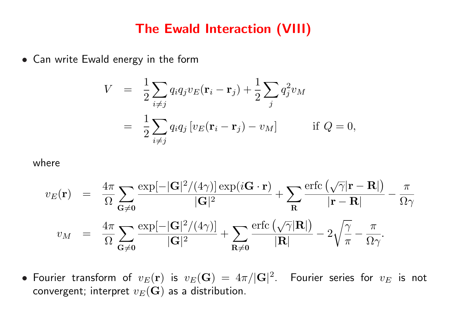#### The Ewald Interaction (VIII)

• Can write Ewald energy in the form

$$
V = \frac{1}{2} \sum_{i \neq j} q_i q_j v_E(\mathbf{r}_i - \mathbf{r}_j) + \frac{1}{2} \sum_j q_j^2 v_M
$$
  
= 
$$
\frac{1}{2} \sum_{i \neq j} q_i q_j [v_E(\mathbf{r}_i - \mathbf{r}_j) - v_M] \quad \text{if } Q = 0,
$$

#### where

$$
v_E(\mathbf{r}) = \frac{4\pi}{\Omega} \sum_{\mathbf{G}\neq \mathbf{0}} \frac{\exp[-|\mathbf{G}|^2/(4\gamma)] \exp(i\mathbf{G}\cdot\mathbf{r})}{|\mathbf{G}|^2} + \sum_{\mathbf{R}} \frac{\exp(\sqrt{\gamma}|\mathbf{r}-\mathbf{R}|)}{|\mathbf{r}-\mathbf{R}|} - \frac{\pi}{\Omega \gamma}
$$
  

$$
v_M = \frac{4\pi}{\Omega} \sum_{\mathbf{G}\neq \mathbf{0}} \frac{\exp[-|\mathbf{G}|^2/(4\gamma)]}{|\mathbf{G}|^2} + \sum_{\mathbf{R}\neq \mathbf{0}} \frac{\exp(\sqrt{\gamma}|\mathbf{R}|)}{|\mathbf{R}|} - 2\sqrt{\frac{\gamma}{\pi}} - \frac{\pi}{\Omega \gamma}.
$$

 $\bullet$  Fourier transform of  $v_E(\mathbf{r})$  is  $v_E(\mathbf{G})\,=\,4\pi/|\mathbf{G}|^2.$  Fourier series for  $v_E$  is not convergent; interpret  $v_E(\mathbf{G})$  as a distribution.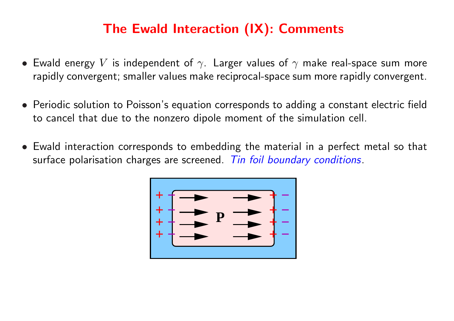### The Ewald Interaction (IX): Comments

- Ewald energy V is independent of  $\gamma$ . Larger values of  $\gamma$  make real-space sum more rapidly convergent; smaller values make reciprocal-space sum more rapidly convergent.
- Periodic solution to Poisson's equation corresponds to adding a constant electric field to cancel that due to the nonzero dipole moment of the simulation cell.
- Ewald interaction corresponds to embedding the material in a perfect metal so that surface polarisation charges are screened. Tin foil boundary conditions.

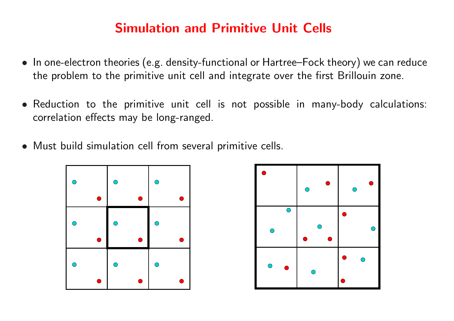### Simulation and Primitive Unit Cells

- In one-electron theories (e.g. density-functional or Hartree–Fock theory) we can reduce the problem to the primitive unit cell and integrate over the first Brillouin zone.
- Reduction to the primitive unit cell is not possible in many-body calculations: correlation effects may be long-ranged.
- Must build simulation cell from several primitive cells.



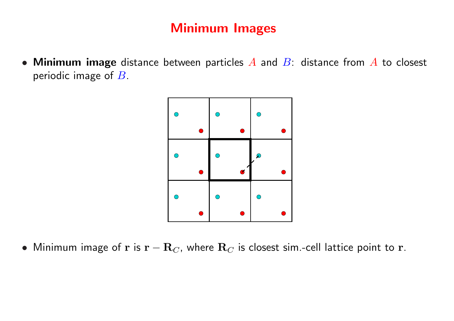### Minimum Images

• Minimum image distance between particles  $A$  and  $B$ : distance from  $A$  to closest periodic image of  $B$ .



• Minimum image of r is  $\mathbf{r} - \mathbf{R}_C$ , where  $\mathbf{R}_C$  is closest sim.-cell lattice point to r.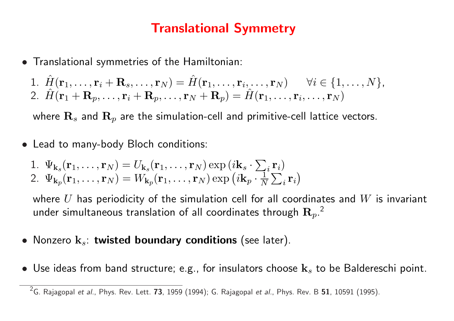### Translational Symmetry

• Translational symmetries of the Hamiltonian:

1. 
$$
\hat{H}(\mathbf{r}_1, \ldots, \mathbf{r}_i + \mathbf{R}_s, \ldots, \mathbf{r}_N) = \hat{H}(\mathbf{r}_1, \ldots, \mathbf{r}_i, \ldots, \mathbf{r}_N) \quad \forall i \in \{1, \ldots, N\},
$$
  
2.  $\hat{H}(\mathbf{r}_1 + \mathbf{R}_p, \ldots, \mathbf{r}_i + \mathbf{R}_p, \ldots, \mathbf{r}_N + \mathbf{R}_p) = \hat{H}(\mathbf{r}_1, \ldots, \mathbf{r}_i, \ldots, \mathbf{r}_N)$ 

where  $\mathbf{R}_s$  and  $\mathbf{R}_p$  are the simulation-cell and primitive-cell lattice vectors.

• Lead to many-body Bloch conditions:

1. 
$$
\Psi_{\mathbf{k}_s}(\mathbf{r}_1, \dots, \mathbf{r}_N) = U_{\mathbf{k}_s}(\mathbf{r}_1, \dots, \mathbf{r}_N) \exp(i\mathbf{k}_s \cdot \sum_i \mathbf{r}_i)
$$
  
2.  $\Psi_{\mathbf{k}_p}(\mathbf{r}_1, \dots, \mathbf{r}_N) = W_{\mathbf{k}_p}(\mathbf{r}_1, \dots, \mathbf{r}_N) \exp(i\mathbf{k}_p \cdot \frac{1}{N} \sum_i \mathbf{r}_i)$ 

where  $U$  has periodicity of the simulation cell for all coordinates and  $W$  is invariant under simultaneous translation of all coordinates through  ${\bf R}_p$   $^2$ 

- Nonzero  $k_s$ : twisted boundary conditions (see later).
- Use ideas from band structure; e.g., for insulators choose  $\mathbf{k}_s$  to be Baldereschi point.

<sup>&</sup>lt;sup>2</sup>G. Rajagopal et al., Phys. Rev. Lett. 73, 1959 (1994); G. Rajagopal et al., Phys. Rev. B 51, 10591 (1995).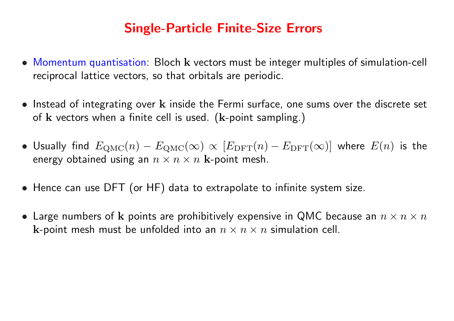### Single-Particle Finite-Size Errors

- Momentum quantisation: Bloch k vectors must be integer multiples of simulation-cell reciprocal lattice vectors, so that orbitals are periodic.
- Instead of integrating over k inside the Fermi surface, one sums over the discrete set of  $k$  vectors when a finite cell is used. ( $k$ -point sampling.)
- Usually find  $E_{\rm QMC}(n) E_{\rm QMC}(\infty) \propto [E_{\rm DFT}(n) E_{\rm DFT}(\infty)]$  where  $E(n)$  is the energy obtained using an  $n \times n \times n$  k-point mesh.
- Hence can use DFT (or HF) data to extrapolate to infinite system size.
- Large numbers of k points are prohibitively expensive in QMC because an  $n \times n \times n$ k-point mesh must be unfolded into an  $n \times n \times n$  simulation cell.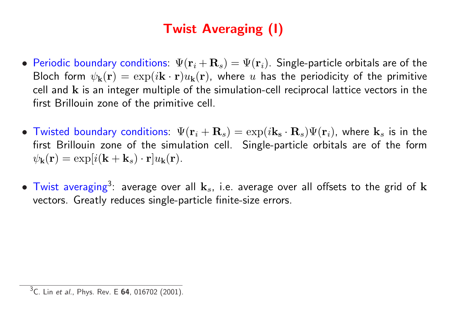# Twist Averaging (I)

- Periodic boundary conditions:  $\Psi(\mathbf{r}_i+\mathbf{R}_s)=\Psi(\mathbf{r}_i)$ . Single-particle orbitals are of the Bloch form  $\psi_{\bf k}({\bf r}) = \exp(i{\bf k}\cdot{\bf r})u_{\bf k}({\bf r})$ , where u has the periodicity of the primitive cell and k is an integer multiple of the simulation-cell reciprocal lattice vectors in the first Brillouin zone of the primitive cell.
- Twisted boundary conditions:  $\Psi(\mathbf{r}_i+\mathbf{R}_s)=\exp(i\mathbf{k}_s\cdot\mathbf{R}_s)\Psi(\mathbf{r}_i)$ , where  $\mathbf{k}_s$  is in the first Brillouin zone of the simulation cell. Single-particle orbitals are of the form  $\psi_{\mathbf{k}}(\mathbf{r}) = \exp[i(\mathbf{k} + \mathbf{k}_s) \cdot \mathbf{r}]u_{\mathbf{k}}(\mathbf{r}).$
- $\bullet$  Twist averaging<sup>3</sup>: average over all  $\mathbf{k}_s$ , i.e. average over all offsets to the grid of  $\mathbf{k}$ vectors. Greatly reduces single-particle finite-size errors.

 $3C.$  Lin et al., Phys. Rev. E 64, 016702 (2001).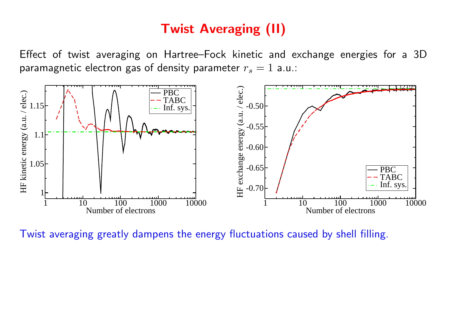### Twist Averaging (II)

Effect of twist averaging on Hartree–Fock kinetic and exchange energies for a 3D paramagnetic electron gas of density parameter  $r_s = 1$  a.u.:



Twist averaging greatly dampens the energy fluctuations caused by shell filling.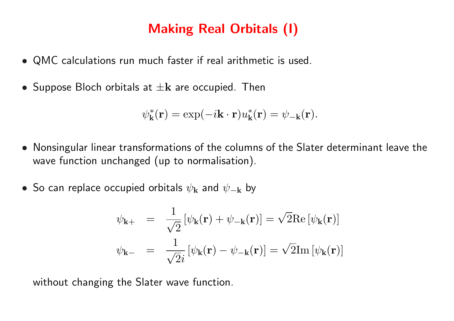### Making Real Orbitals (I)

- QMC calculations run much faster if real arithmetic is used.
- Suppose Bloch orbitals at  $\pm \mathbf{k}$  are occupied. Then

$$
\psi_{\mathbf{k}}^*(\mathbf{r}) = \exp(-i\mathbf{k}\cdot\mathbf{r})u_{\mathbf{k}}^*(\mathbf{r}) = \psi_{-\mathbf{k}}(\mathbf{r}).
$$

- Nonsingular linear transformations of the columns of the Slater determinant leave the wave function unchanged (up to normalisation).
- So can replace occupied orbitals  $\psi_{\mathbf{k}}$  and  $\psi_{-\mathbf{k}}$  by

$$
\psi_{\mathbf{k}+} = \frac{1}{\sqrt{2}} [\psi_{\mathbf{k}}(\mathbf{r}) + \psi_{-\mathbf{k}}(\mathbf{r})] = \sqrt{2} \text{Re} [\psi_{\mathbf{k}}(\mathbf{r})]
$$

$$
\psi_{\mathbf{k}-} = \frac{1}{\sqrt{2}i} [\psi_{\mathbf{k}}(\mathbf{r}) - \psi_{-\mathbf{k}}(\mathbf{r})] = \sqrt{2} \text{Im} [\psi_{\mathbf{k}}(\mathbf{r})]
$$

without changing the Slater wave function.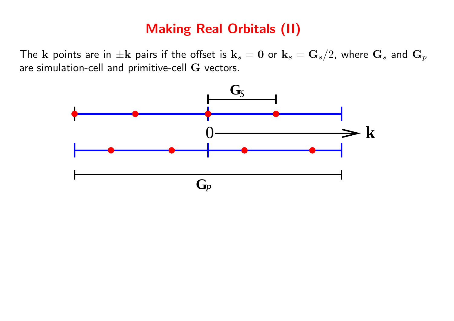### Making Real Orbitals (II)

The k points are in  $\pm {\bf k}$  pairs if the offset is  ${\bf k}_s = {\bf 0}$  or  ${\bf k}_s = {\bf G}_s/2$ , where  ${\bf G}_s$  and  ${\bf G}_p$ are simulation-cell and primitive-cell G vectors.

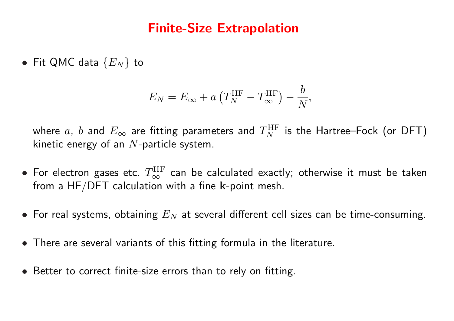#### Finite-Size Extrapolation

• Fit QMC data  $\{E_N\}$  to

$$
E_N = E_{\infty} + a \left( T_N^{\text{HF}} - T_{\infty}^{\text{HF}} \right) - \frac{b}{N},
$$

where  $a,~b$  and  $E_{\infty}$  are fitting parameters and  $T_N^{\rm HF}$  is the Hartree–Fock (or DFT) kinetic energy of an  $N$ -particle system.

- $\bullet$  For electron gases etc.  $T_\infty^{\rm HF}$  can be calculated exactly; otherwise it must be taken from a HF/DFT calculation with a fine  $k$ -point mesh.
- For real systems, obtaining  $E_N$  at several different cell sizes can be time-consuming.
- There are several variants of this fitting formula in the literature.
- Better to correct finite-size errors than to rely on fitting.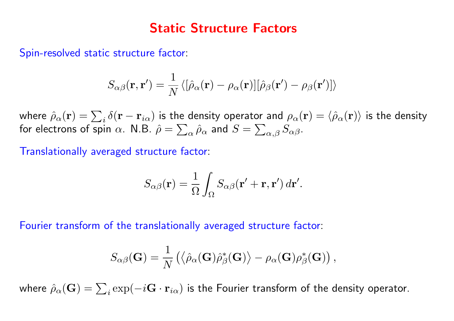#### Static Structure Factors

Spin-resolved static structure factor:

$$
S_{\alpha\beta}(\mathbf{r},\mathbf{r}') = \frac{1}{N} \langle [\hat{\rho}_{\alpha}(\mathbf{r}) - \rho_{\alpha}(\mathbf{r})] [\hat{\rho}_{\beta}(\mathbf{r}') - \rho_{\beta}(\mathbf{r}')] \rangle
$$

where  $\hat{\rho}_{\alpha}(\mathbf{r}) = \sum_i \delta(\mathbf{r} - \mathbf{r}_{i\alpha})$  is the density operator and  $\rho_{\alpha}(\mathbf{r}) = \langle \hat{\rho}_{\alpha}(\mathbf{r}) \rangle$  is the density for electrons of spin  $\alpha$ . N.B.  $\hat{\rho}=\sum_{\alpha}\hat{\rho}_{\alpha}$  and  $S=\sum_{\alpha,\beta}S_{\alpha\beta}.$ 

Translationally averaged structure factor:

$$
S_{\alpha\beta}(\mathbf{r}) = \frac{1}{\Omega} \int_{\Omega} S_{\alpha\beta}(\mathbf{r}' + \mathbf{r}, \mathbf{r}') d\mathbf{r}'.
$$

Fourier transform of the translationally averaged structure factor:

$$
S_{\alpha\beta}(\mathbf{G})=\frac{1}{N}\left(\left\langle \hat{\rho}_{\alpha}(\mathbf{G})\hat{\rho}_{\beta}^{*}(\mathbf{G})\right\rangle -\rho_{\alpha}(\mathbf{G})\rho_{\beta}^{*}(\mathbf{G})\right),
$$

where  $\hat{\rho}_{\alpha}(\mathbf{G})=\sum_i \exp(-i\mathbf{G}\cdot \mathbf{r}_{i\alpha})$  is the Fourier transform of the density operator.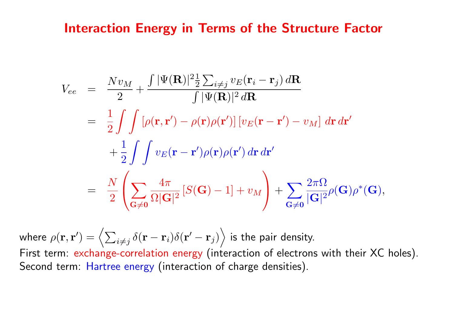#### Interaction Energy in Terms of the Structure Factor

$$
V_{ee} = \frac{Nv_M}{2} + \frac{\int |\Psi(\mathbf{R})|^2 \frac{1}{2} \sum_{i \neq j} v_E(\mathbf{r}_i - \mathbf{r}_j) d\mathbf{R}}{\int |\Psi(\mathbf{R})|^2 d\mathbf{R}}
$$
  
\n
$$
= \frac{1}{2} \int \int [\rho(\mathbf{r}, \mathbf{r}') - \rho(\mathbf{r}) \rho(\mathbf{r}')] [v_E(\mathbf{r} - \mathbf{r}') - v_M] d\mathbf{r} d\mathbf{r}'
$$
  
\n
$$
+ \frac{1}{2} \int \int v_E(\mathbf{r} - \mathbf{r}') \rho(\mathbf{r}) \rho(\mathbf{r}') d\mathbf{r} d\mathbf{r}'
$$
  
\n
$$
= \frac{N}{2} \left( \sum_{\mathbf{G} \neq \mathbf{0}} \frac{4\pi}{\Omega |\mathbf{G}|^2} [S(\mathbf{G}) - 1] + v_M \right) + \sum_{\mathbf{G} \neq \mathbf{0}} \frac{2\pi \Omega}{|\mathbf{G}|^2} \rho(\mathbf{G}) \rho^*(\mathbf{G}),
$$

where  $\rho({\bf r},{\bf r}^{\prime})$  $\phi) = \Bigl\langle \sum_{i \neq j} \delta({\bf r} - {\bf r}_i) \delta({\bf r}' - {\bf r}_j) \Bigr\rangle$ E is the pair density. First term: exchange-correlation energy (interaction of electrons with their XC holes). Second term: Hartree energy (interaction of charge densities).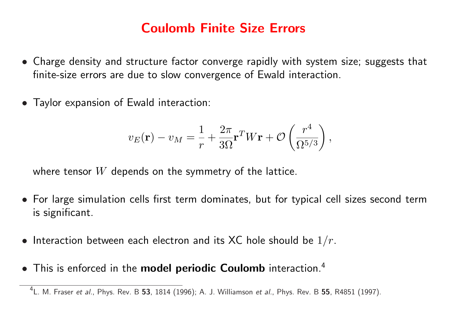### Coulomb Finite Size Errors

- Charge density and structure factor converge rapidly with system size; suggests that finite-size errors are due to slow convergence of Ewald interaction.
- Taylor expansion of Ewald interaction:

$$
v_E(\mathbf{r}) - v_M = \frac{1}{r} + \frac{2\pi}{3\Omega} \mathbf{r}^T W \mathbf{r} + \mathcal{O}\left(\frac{r^4}{\Omega^{5/3}}\right),\,
$$

where tensor  $W$  depends on the symmetry of the lattice.

- For large simulation cells first term dominates, but for typical cell sizes second term is significant.
- Interaction between each electron and its XC hole should be  $1/r$ .
- This is enforced in the model periodic Coulomb interaction.<sup>4</sup>

 $^4$ L. M. Fraser *et al.*, Phys. Rev. B 53, 1814 (1996); A. J. Williamson *et al.*, Phys. Rev. B 55, R4851 (1997).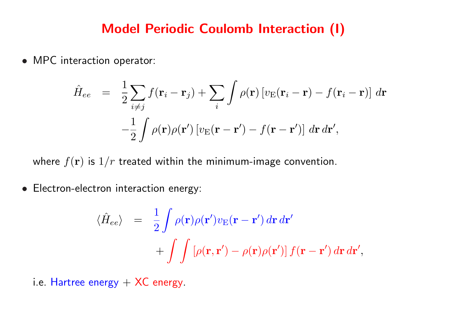#### Model Periodic Coulomb Interaction (I)

• MPC interaction operator:

$$
\hat{H}_{ee} = \frac{1}{2} \sum_{i \neq j} f(\mathbf{r}_i - \mathbf{r}_j) + \sum_i \int \rho(\mathbf{r}) \left[ v_{\rm E}(\mathbf{r}_i - \mathbf{r}) - f(\mathbf{r}_i - \mathbf{r}) \right] d\mathbf{r}
$$

$$
-\frac{1}{2} \int \rho(\mathbf{r}) \rho(\mathbf{r}') \left[ v_{\rm E}(\mathbf{r} - \mathbf{r}') - f(\mathbf{r} - \mathbf{r}') \right] d\mathbf{r} d\mathbf{r}',
$$

where  $f(\mathbf{r})$  is  $1/r$  treated within the minimum-image convention.

• Electron-electron interaction energy:

$$
\langle \hat{H}_{ee} \rangle = \frac{1}{2} \int \rho(\mathbf{r}) \rho(\mathbf{r}') v_{\rm E}(\mathbf{r} - \mathbf{r}') d\mathbf{r} d\mathbf{r}'
$$

$$
+ \int \int \left[ \rho(\mathbf{r}, \mathbf{r}') - \rho(\mathbf{r}) \rho(\mathbf{r}') \right] f(\mathbf{r} - \mathbf{r}') d\mathbf{r} d\mathbf{r}',
$$

i.e. Hartree energy  $+$  XC energy.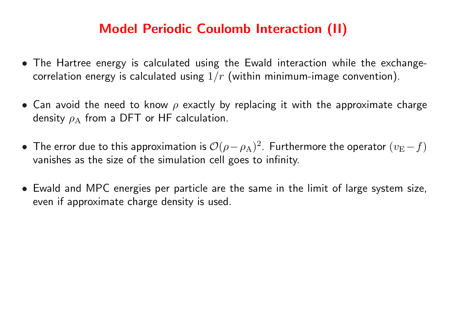### Model Periodic Coulomb Interaction (II)

- The Hartree energy is calculated using the Ewald interaction while the exchangecorrelation energy is calculated using  $1/r$  (within minimum-image convention).
- Can avoid the need to know  $\rho$  exactly by replacing it with the approximate charge density  $\rho_A$  from a DFT or HF calculation.
- The error due to this approximation is  $\mathcal{O}(\rho-\rho_\text{A})^2$  . Furthermore the operator  $(v_\text{E}-f)$ vanishes as the size of the simulation cell goes to infinity.
- Ewald and MPC energies per particle are the same in the limit of large system size, even if approximate charge density is used.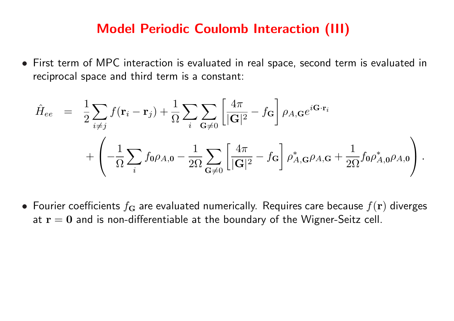#### Model Periodic Coulomb Interaction (III)

• First term of MPC interaction is evaluated in real space, second term is evaluated in reciprocal space and third term is a constant:

$$
\hat{H}_{ee} = \frac{1}{2} \sum_{i \neq j} f(\mathbf{r}_i - \mathbf{r}_j) + \frac{1}{\Omega} \sum_i \sum_{\mathbf{G} \neq 0} \left[ \frac{4\pi}{|\mathbf{G}|^2} - f_{\mathbf{G}} \right] \rho_{A,\mathbf{G}} e^{i\mathbf{G} \cdot \mathbf{r}_i} \n+ \left( -\frac{1}{\Omega} \sum_i f_0 \rho_{A,0} - \frac{1}{2\Omega} \sum_{\mathbf{G} \neq 0} \left[ \frac{4\pi}{|\mathbf{G}|^2} - f_{\mathbf{G}} \right] \rho_{A,\mathbf{G}}^* \rho_{A,\mathbf{G}} + \frac{1}{2\Omega} f_0 \rho_{A,0}^* \rho_{A,0} \right).
$$

• Fourier coefficients  $f_{\mathbf{G}}$  are evaluated numerically. Requires care because  $f(\mathbf{r})$  diverges at  $r = 0$  and is non-differentiable at the boundary of the Wigner-Seitz cell.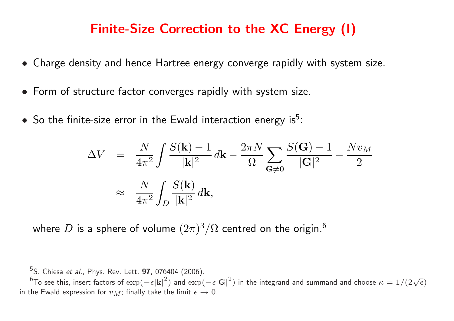### Finite-Size Correction to the XC Energy (I)

- Charge density and hence Hartree energy converge rapidly with system size.
- Form of structure factor converges rapidly with system size.
- So the finite-size error in the Ewald interaction energy is<sup>5</sup>:

$$
\Delta V = \frac{N}{4\pi^2} \int \frac{S(\mathbf{k}) - 1}{|\mathbf{k}|^2} d\mathbf{k} - \frac{2\pi N}{\Omega} \sum_{\mathbf{G} \neq 0} \frac{S(\mathbf{G}) - 1}{|\mathbf{G}|^2} - \frac{Nv_M}{2}
$$

$$
\approx \frac{N}{4\pi^2} \int_D \frac{S(\mathbf{k})}{|\mathbf{k}|^2} d\mathbf{k},
$$

where  $D$  is a sphere of volume  $(2\pi)^3/\Omega$  centred on the origin. $^6$ 

<sup>&</sup>lt;sup>5</sup>S. Chiesa *et al.*, Phys. Rev. Lett. **97**, 076404 (2006).

<sup>6</sup> To see this, insert factors of exp(−ε|k|<sup>2</sup>) and exp(−ε|G|<sup>2</sup>) in the integrand and summand and choose  $\kappa = 1/(2\sqrt{\epsilon})$ in the Ewald expression for  $v_M$ ; finally take the limit  $\epsilon \to 0$ .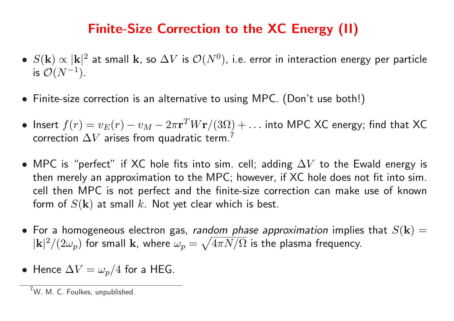### Finite-Size Correction to the XC Energy (II)

- $S(\mathbf{k}) \propto |\mathbf{k}|^2$  at small  $\mathbf{k}$ , so  $\Delta V$  is  $\mathcal{O}(N^0)$ , i.e. error in interaction energy per particle is  $\mathcal{O}(N^{-1})$ .
- Finite-size correction is an alternative to using MPC. (Don't use both!)
- Insert  $f(r) = v_E(r) v_M 2\pi \mathbf{r}^T W \mathbf{r} / (3\Omega) + \ldots$  into MPC XC energy; find that XC correction  $\Delta V$  arises from quadratic term.<sup>7</sup>
- MPC is "perfect" if XC hole fits into sim. cell; adding  $\Delta V$  to the Ewald energy is then merely an approximation to the MPC; however, if XC hole does not fit into sim. cell then MPC is not perfect and the finite-size correction can make use of known form of  $S(\mathbf{k})$  at small k. Not yet clear which is best.
- For a homogeneous electron gas, *random phase approximation* implies that  $S(\mathbf{k}) =$  $|{\bf k}|^2/(2\omega_p)$  for small  ${\bf k}$ , where  $\omega_p=\sqrt{4\pi N/\Omega}$  is the plasma frequency.
- Hence  $\Delta V = \omega_p/4$  for a HEG.

 $7W$ . M. C. Foulkes, unpublished.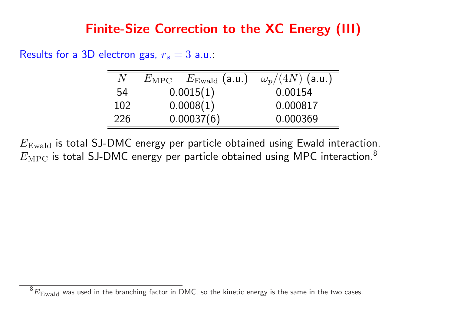### Finite-Size Correction to the XC Energy (III)

Results for a 3D electron gas,  $r_s = 3$  a.u.:

| N   | $E_{\rm MPC} - E_{\rm Ewald}$ (a.u.) | $\omega_p/(4N)$ (a.u.) |
|-----|--------------------------------------|------------------------|
| 54  | 0.0015(1)                            | 0.00154                |
| 102 | 0.0008(1)                            | 0.000817               |
| 226 | 0.00037(6)                           | 0.000369               |

 $E_{\text{Ewald}}$  is total SJ-DMC energy per particle obtained using Ewald interaction.  $E_{\text{MPC}}$  is total SJ-DMC energy per particle obtained using MPC interaction.<sup>8</sup>

 $^8E_{\rm Ewald}$  was used in the branching factor in DMC, so the kinetic energy is the same in the two cases.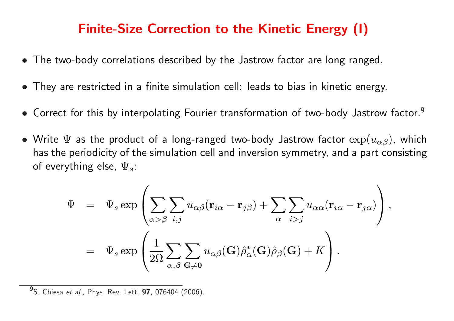### Finite-Size Correction to the Kinetic Energy (I)

- The two-body correlations described by the Jastrow factor are long ranged.
- They are restricted in a finite simulation cell: leads to bias in kinetic energy.
- Correct for this by interpolating Fourier transformation of two-body Jastrow factor.<sup>9</sup>
- Write  $\Psi$  as the product of a long-ranged two-body Jastrow factor  $\exp(u_{\alpha\beta})$ , which has the periodicity of the simulation cell and inversion symmetry, and a part consisting of everything else,  $\Psi_s$ :

$$
\Psi = \Psi_s \exp \left( \sum_{\alpha > \beta} \sum_{i,j} u_{\alpha\beta} (\mathbf{r}_{i\alpha} - \mathbf{r}_{j\beta}) + \sum_{\alpha} \sum_{i>j} u_{\alpha\alpha} (\mathbf{r}_{i\alpha} - \mathbf{r}_{j\alpha}) \right),
$$
  

$$
= \Psi_s \exp \left( \frac{1}{2\Omega} \sum_{\alpha,\beta} \sum_{\mathbf{G} \neq \mathbf{0}} u_{\alpha\beta} (\mathbf{G}) \hat{\rho}_{\alpha}^* (\mathbf{G}) \hat{\rho}_{\beta} (\mathbf{G}) + K \right).
$$

<sup>9</sup>S. Chiesa *et al.*, Phys. Rev. Lett. **97**, 076404 (2006).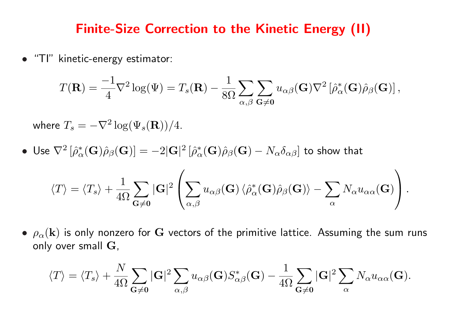#### Finite-Size Correction to the Kinetic Energy (II)

• "TI" kinetic-energy estimator:

$$
T(\mathbf{R}) = -\frac{1}{4}\nabla^2 \log(\Psi) = T_s(\mathbf{R}) - \frac{1}{8\Omega} \sum_{\alpha,\beta} \sum_{\mathbf{G}\neq \mathbf{0}} u_{\alpha\beta}(\mathbf{G}) \nabla^2 \left[ \hat{\rho}_{\alpha}^*(\mathbf{G}) \hat{\rho}_{\beta}(\mathbf{G}) \right],
$$

where  $T_s = -\nabla^2 \log(\Psi_s({\bf R}))/4.$ 

 $\bullet\,$  Use  $\nabla^2\left[\hat{\rho}_\alpha^*(\mathbf{G})\hat{\rho}_\beta(\mathbf{G})\right]=-2|\mathbf{G}|^2\left[\hat{\rho}_\alpha^*(\mathbf{G})\hat{\rho}_\beta(\mathbf{G})-N_\alpha\delta_{\alpha\beta}\right]$  to show that

$$
\langle T \rangle = \langle T_s \rangle + \frac{1}{4\Omega} \sum_{\mathbf{G} \neq \mathbf{0}} |\mathbf{G}|^2 \left( \sum_{\alpha,\beta} u_{\alpha\beta}(\mathbf{G}) \left\langle \hat{\rho}_{\alpha}^*(\mathbf{G}) \hat{\rho}_{\beta}(\mathbf{G}) \right\rangle - \sum_{\alpha} N_{\alpha} u_{\alpha\alpha}(\mathbf{G}) \right).
$$

•  $\rho_{\alpha}(\mathbf{k})$  is only nonzero for G vectors of the primitive lattice. Assuming the sum runs only over small  $G$ ,

$$
\langle T \rangle = \langle T_s \rangle + \frac{N}{4\Omega} \sum_{\mathbf{G} \neq \mathbf{0}} |\mathbf{G}|^2 \sum_{\alpha,\beta} u_{\alpha\beta}(\mathbf{G}) S_{\alpha\beta}^*(\mathbf{G}) - \frac{1}{4\Omega} \sum_{\mathbf{G} \neq \mathbf{0}} |\mathbf{G}|^2 \sum_{\alpha} N_{\alpha} u_{\alpha\alpha}(\mathbf{G}).
$$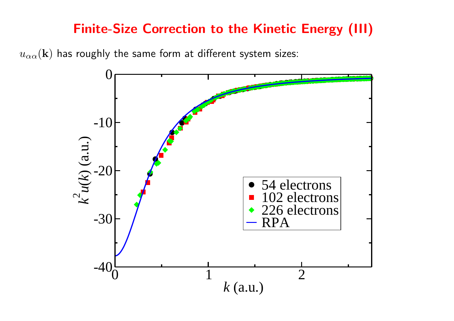### Finite-Size Correction to the Kinetic Energy (III)

 $u_{\alpha\alpha}(\mathbf{k})$  has roughly the same form at different system sizes:

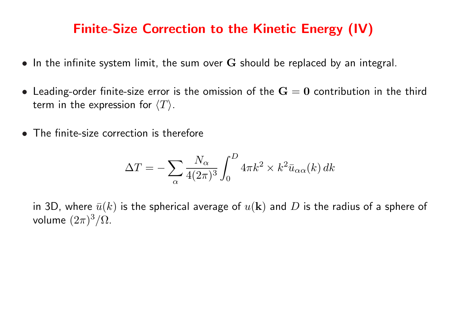### Finite-Size Correction to the Kinetic Energy (IV)

- In the infinite system limit, the sum over  $G$  should be replaced by an integral.
- Leading-order finite-size error is the omission of the  $G = 0$  contribution in the third term in the expression for  $\langle T \rangle$ .
- The finite-size correction is therefore

$$
\Delta T = - \sum_\alpha \frac{N_\alpha}{4(2\pi)^3} \int_0^D 4\pi k^2 \times k^2 \bar{u}_{\alpha\alpha}(k) \, dk
$$

in 3D, where  $\bar{u}(k)$  is the spherical average of  $u(\mathbf{k})$  and D is the radius of a sphere of volume  $(2\pi)^3/\Omega$ .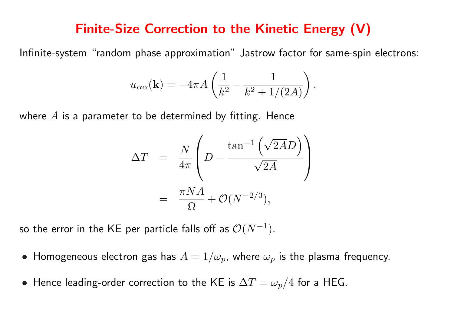#### Finite-Size Correction to the Kinetic Energy (V)

Infinite-system "random phase approximation" Jastrow factor for same-spin electrons:

$$
u_{\alpha\alpha}(\mathbf{k}) = -4\pi A \left( \frac{1}{k^2} - \frac{1}{k^2 + 1/(2A)} \right).
$$

where  $A$  is a parameter to be determined by fitting. Hence

$$
\Delta T = \frac{N}{4\pi} \left( D - \frac{\tan^{-1}(\sqrt{2A}D)}{\sqrt{2A}} \right)
$$

$$
= \frac{\pi NA}{\Omega} + \mathcal{O}(N^{-2/3}),
$$

so the error in the KE per particle falls off as  $\mathcal{O}(N^{-1}).$ 

- Homogeneous electron gas has  $A = 1/\omega_p$ , where  $\omega_p$  is the plasma frequency.
- Hence leading-order correction to the KE is  $\Delta T = \omega_p/4$  for a HEG.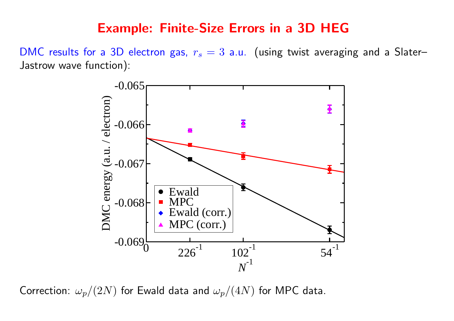#### Example: Finite-Size Errors in a 3D HEG

DMC results for a 3D electron gas,  $r_s = 3$  a.u. (using twist averaging and a Slater– Jastrow wave function):



Correction:  $\omega_p/(2N)$  for Ewald data and  $\omega_p/(4N)$  for MPC data.